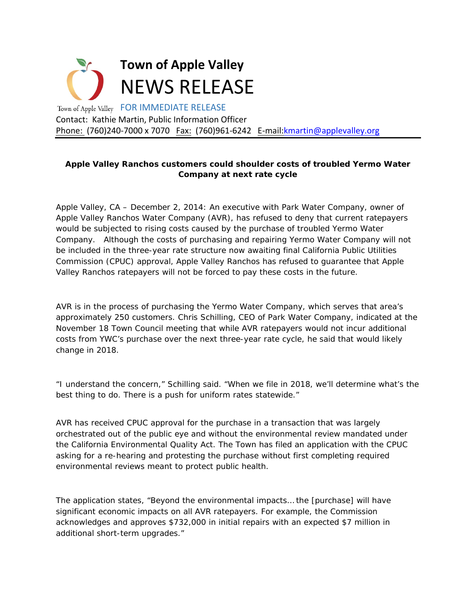

## **Apple Valley Ranchos customers could shoulder costs of troubled Yermo Water Company at next rate cycle**

*Apple Valley, CA – December 2, 2014:* An executive with Park Water Company, owner of Apple Valley Ranchos Water Company (AVR), has refused to deny that current ratepayers would be subjected to rising costs caused by the purchase of troubled Yermo Water Company. Although the costs of purchasing and repairing Yermo Water Company will not be included in the three-year rate structure now awaiting final California Public Utilities Commission (CPUC) approval, Apple Valley Ranchos has refused to guarantee that Apple Valley Ranchos ratepayers will not be forced to pay these costs in the future.

AVR is in the process of purchasing the Yermo Water Company, which serves that area's approximately 250 customers. Chris Schilling, CEO of Park Water Company, indicated at the November 18 Town Council meeting that while AVR ratepayers would not incur additional costs from YWC's purchase over the next three-year rate cycle, he said that would likely change in 2018.

"I understand the concern," Schilling said. "When we file in 2018, we'll determine what's the best thing to do. There is a push for uniform rates statewide."

AVR has received CPUC approval for the purchase in a transaction that was largely orchestrated out of the public eye and without the environmental review mandated under the California Environmental Quality Act. The Town has filed an application with the CPUC asking for a re-hearing and protesting the purchase without first completing required environmental reviews meant to protect public health.

The application states, "Beyond the environmental impacts… the [purchase] will have significant economic impacts on all AVR ratepayers. For example, the Commission acknowledges and approves \$732,000 in initial repairs with an expected \$7 million in additional short-term upgrades."